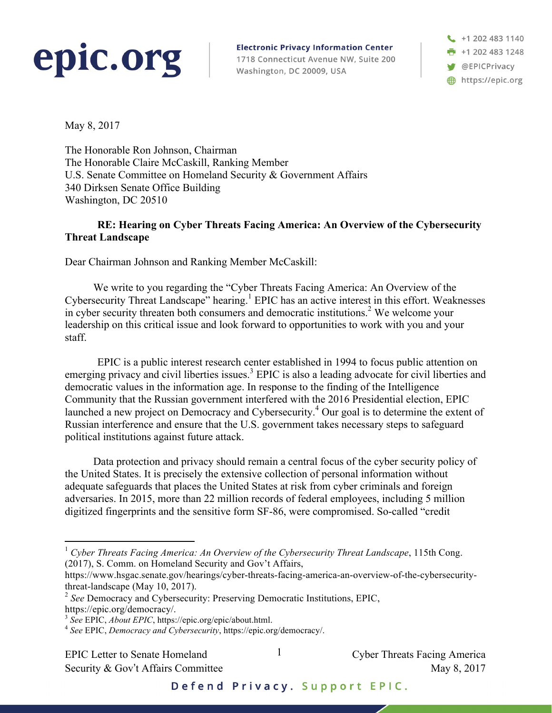## epic.org

**Electronic Privacy Information Center** 1718 Connecticut Avenue NW, Suite 200 Washington, DC 20009, USA

+1 202 483 1140 **n** +1 202 483 1248 **W** @EPICPrivacy https://epic.org

May 8, 2017

The Honorable Ron Johnson, Chairman The Honorable Claire McCaskill, Ranking Member U.S. Senate Committee on Homeland Security & Government Affairs 340 Dirksen Senate Office Building Washington, DC 20510

## **RE: Hearing on Cyber Threats Facing America: An Overview of the Cybersecurity Threat Landscape**

Dear Chairman Johnson and Ranking Member McCaskill:

We write to you regarding the "Cyber Threats Facing America: An Overview of the Cybersecurity Threat Landscape" hearing. <sup>1</sup> EPIC has an active interest in this effort. Weaknesses in cyber security threaten both consumers and democratic institutions.<sup>2</sup> We welcome your leadership on this critical issue and look forward to opportunities to work with you and your staff.

EPIC is a public interest research center established in 1994 to focus public attention on emerging privacy and civil liberties issues.<sup>3</sup> EPIC is also a leading advocate for civil liberties and democratic values in the information age. In response to the finding of the Intelligence Community that the Russian government interfered with the 2016 Presidential election, EPIC launched a new project on Democracy and Cybersecurity.<sup>4</sup> Our goal is to determine the extent of Russian interference and ensure that the U.S. government takes necessary steps to safeguard political institutions against future attack.

Data protection and privacy should remain a central focus of the cyber security policy of the United States. It is precisely the extensive collection of personal information without adequate safeguards that places the United States at risk from cyber criminals and foreign adversaries. In 2015, more than 22 million records of federal employees, including 5 million digitized fingerprints and the sensitive form SF-86, were compromised. So-called "credit

EPIC Letter to Senate Homeland  $\qquad \qquad$   $\qquad \qquad$  Cyber Threats Facing America

1

Security & Gov't Affairs Committee May 8, 2017

Defend Privacy. Support EPIC.

<sup>&</sup>lt;sup>1</sup> Cyber Threats Facing America: An Overview of the Cybersecurity Threat Landscape, 115th Cong. (2017), S. Comm. on Homeland Security and Gov't Affairs,

https://www.hsgac.senate.gov/hearings/cyber-threats-facing-america-an-overview-of-the-cybersecuritythreat-landscape (May 10, 2017).

<sup>2</sup> *See* Democracy and Cybersecurity: Preserving Democratic Institutions, EPIC,

https://epic.org/democracy/.<br><sup>3</sup> See EPIC, *About EPIC*, https://epic.org/epic/about.html.

<sup>&</sup>lt;sup>4</sup> See EPIC, *Democracy and Cybersecurity*, https://epic.org/democracy/.